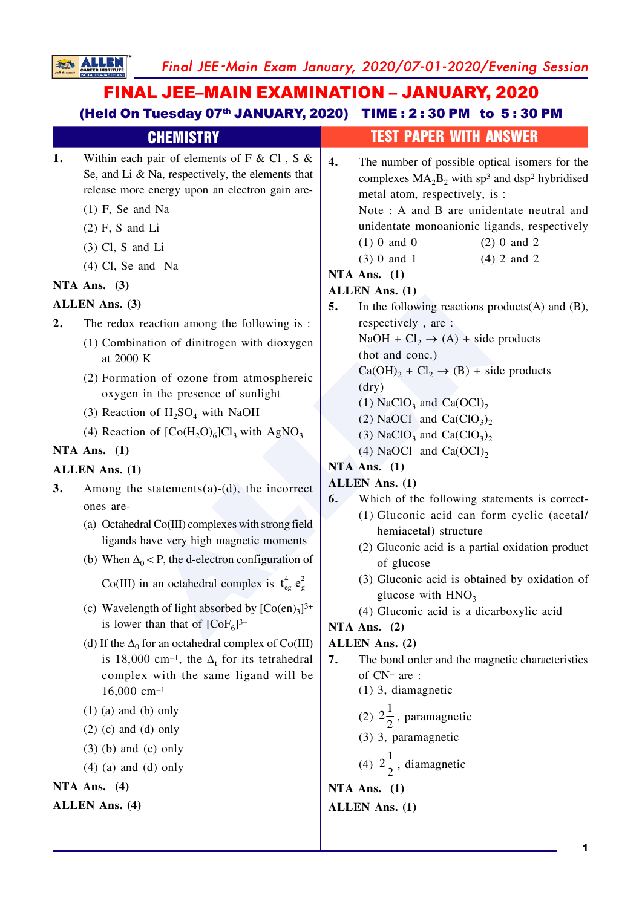Final JEE-Main Exam January, 2020/07-01-2020/Evening Session

# **FINAL JEE-MAIN EXAMINATION - JANUARY, 2020** (Held On Tuesday 07<sup>th</sup> JANUARY, 2020) TIME: 2:30 PM to 5:30 PM

**SO ALLEN** 

|                       | <b>CHEMISTRY</b>                                                                                                                                                                                                                                                                                                                                                                                                                                                                                                                                                                                                                                                  | <b>TEST PAPER WITH ANSWER</b>                                                                                                                                                                                                                                                                                                                                                                                                                                                                                                                                                                                                                                                                                                                                                                                                                                                                                                                                                |
|-----------------------|-------------------------------------------------------------------------------------------------------------------------------------------------------------------------------------------------------------------------------------------------------------------------------------------------------------------------------------------------------------------------------------------------------------------------------------------------------------------------------------------------------------------------------------------------------------------------------------------------------------------------------------------------------------------|------------------------------------------------------------------------------------------------------------------------------------------------------------------------------------------------------------------------------------------------------------------------------------------------------------------------------------------------------------------------------------------------------------------------------------------------------------------------------------------------------------------------------------------------------------------------------------------------------------------------------------------------------------------------------------------------------------------------------------------------------------------------------------------------------------------------------------------------------------------------------------------------------------------------------------------------------------------------------|
| 1.                    | Within each pair of elements of F & Cl, S &<br>Se, and Li & Na, respectively, the elements that<br>release more energy upon an electron gain are-<br>$(1)$ F, Se and Na<br>$(2)$ F, S and Li<br>$(3)$ Cl, S and Li<br>$(4)$ Cl, Se and Na                                                                                                                                                                                                                                                                                                                                                                                                                         | 4.<br>The number of possible optical isomers for the<br>complexes $MA_2B_2$ with sp <sup>3</sup> and dsp <sup>2</sup> hybridised<br>metal atom, respectively, is :<br>Note: A and B are unidentate neutral and<br>unidentate monoanionic ligands, respectively<br>$(1)$ 0 and 0<br>$(2)$ 0 and 2<br>$(4)$ 2 and 2<br>$(3)$ 0 and 1                                                                                                                                                                                                                                                                                                                                                                                                                                                                                                                                                                                                                                           |
|                       | NTA Ans. $(3)$                                                                                                                                                                                                                                                                                                                                                                                                                                                                                                                                                                                                                                                    | NTA Ans. $(1)$                                                                                                                                                                                                                                                                                                                                                                                                                                                                                                                                                                                                                                                                                                                                                                                                                                                                                                                                                               |
| <b>ALLEN Ans. (3)</b> |                                                                                                                                                                                                                                                                                                                                                                                                                                                                                                                                                                                                                                                                   | <b>ALLEN</b> Ans. (1)<br>5.<br>In the following reactions products $(A)$ and $(B)$ ,                                                                                                                                                                                                                                                                                                                                                                                                                                                                                                                                                                                                                                                                                                                                                                                                                                                                                         |
| 2.                    | The redox reaction among the following is :<br>(1) Combination of dinitrogen with dioxygen<br>at 2000 K<br>(2) Formation of ozone from atmosphereic<br>oxygen in the presence of sunlight<br>(3) Reaction of $H_2SO_4$ with NaOH<br>(4) Reaction of $[Co(H2O)6]Cl3$ with AgNO <sub>3</sub><br>NTA Ans. $(1)$<br><b>ALLEN Ans. (1)</b>                                                                                                                                                                                                                                                                                                                             | respectively, are:<br>NaOH + Cl <sub>2</sub> $\rightarrow$ (A) + side products<br>(hot and conc.)<br>$Ca(OH)2 + Cl2 \rightarrow (B) + side$ products<br>(dry)<br>(1) NaClO <sub>3</sub> and Ca(OCl) <sub>2</sub><br>(2) NaOCl and Ca(ClO <sub>3</sub> ) <sub>2</sub><br>(3) NaClO <sub>3</sub> and Ca(ClO <sub>3</sub> ) <sub>2</sub><br>(4) NaOCl and $Ca(OCl)2$<br>NTA Ans. $(1)$<br><b>ALLEN</b> Ans. (1)<br>Which of the following statements is correct-<br>6.<br>(1) Gluconic acid can form cyclic (acetal/<br>hemiacetal) structure<br>(2) Gluconic acid is a partial oxidation product<br>of glucose<br>(3) Gluconic acid is obtained by oxidation of<br>glucose with $HNO3$<br>(4) Gluconic acid is a dicarboxylic acid<br>NTA Ans. $(2)$<br><b>ALLEN Ans. (2)</b><br>The bond order and the magnetic characteristics<br>7.<br>of CN- are :<br>$(1)$ 3, diamagnetic<br>(2) $2\frac{1}{2}$ , paramagnetic<br>(3) 3, paramagnetic<br>(4) $2\frac{1}{2}$ , diamagnetic |
| 3.                    | Among the statements(a)-(d), the incorrect<br>ones are-<br>(a) Octahedral Co(III) complexes with strong field<br>ligands have very high magnetic moments<br>(b) When $\Delta_0$ < P, the d-electron configuration of<br>Co(III) in an octahedral complex is $t_{eg}^4 e_g^2$<br>(c) Wavelength of light absorbed by $[Co(en)_3]^{3+}$<br>is lower than that of $[CoF_6]^{3-}$<br>(d) If the $\Delta_0$ for an octahedral complex of Co(III)<br>is 18,000 cm <sup>-1</sup> , the $\Delta_t$ for its tetrahedral<br>complex with the same ligand will be<br>$16,000$ cm <sup>-1</sup><br>$(1)$ (a) and (b) only<br>$(2)$ (c) and (d) only<br>$(3)$ (b) and (c) only |                                                                                                                                                                                                                                                                                                                                                                                                                                                                                                                                                                                                                                                                                                                                                                                                                                                                                                                                                                              |
|                       | $(4)$ (a) and (d) only<br>NTA Ans. $(4)$                                                                                                                                                                                                                                                                                                                                                                                                                                                                                                                                                                                                                          | NTA Ans. $(1)$                                                                                                                                                                                                                                                                                                                                                                                                                                                                                                                                                                                                                                                                                                                                                                                                                                                                                                                                                               |
| <b>ALLEN Ans. (4)</b> |                                                                                                                                                                                                                                                                                                                                                                                                                                                                                                                                                                                                                                                                   | <b>ALLEN</b> Ans. (1)                                                                                                                                                                                                                                                                                                                                                                                                                                                                                                                                                                                                                                                                                                                                                                                                                                                                                                                                                        |
|                       |                                                                                                                                                                                                                                                                                                                                                                                                                                                                                                                                                                                                                                                                   |                                                                                                                                                                                                                                                                                                                                                                                                                                                                                                                                                                                                                                                                                                                                                                                                                                                                                                                                                                              |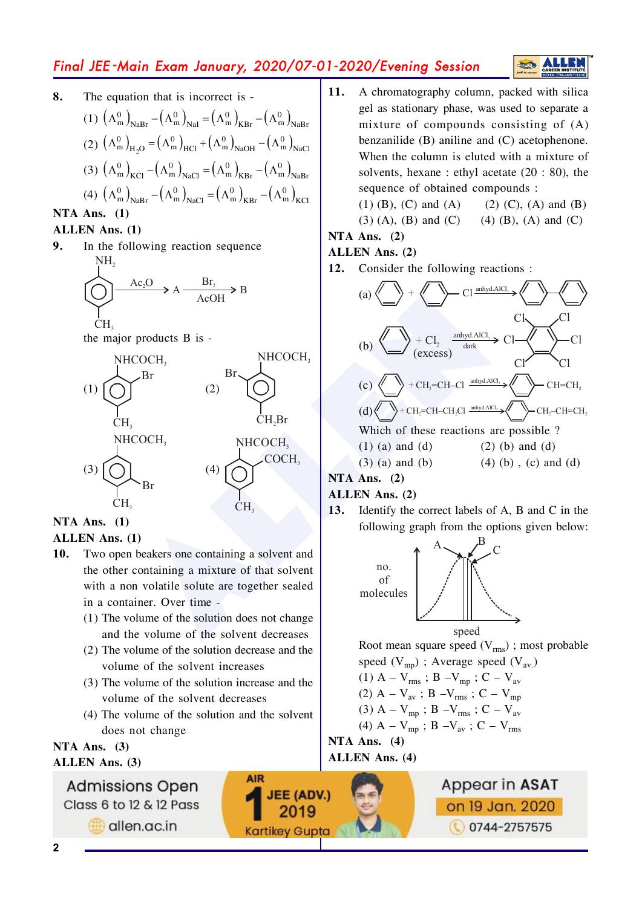## Final JEE -Main Exam January, 2020/07-01-2020/Evening Session

**8.** The equation that is incorrect is -(1)  $(\Lambda_{\text{m}}^{0})_{\text{NaBr}} - (\Lambda_{\text{m}}^{0})_{\text{NaI}} = (\Lambda_{\text{m}}^{0})_{\text{KBr}} - (\Lambda_{\text{m}}^{0})_{\text{NaBr}}$ (2)  $(\Lambda_{\text{m}}^{0})_{\text{H}_{2}\text{O}} = (\Lambda_{\text{m}}^{0})_{\text{HCl}} + (\Lambda_{\text{m}}^{0})_{\text{NaOH}} - (\Lambda_{\text{m}}^{0})_{\text{I}}$  ${\Lambda_{\rm m}^0}$   $_{\rm H_2O}$  =  $\left({\Lambda_{\rm m}^0} \right)_{\rm HCl}$  +  $\left({\Lambda_{\rm m}^0} \right)_{\rm NaOH}$  -  $\left({\Lambda_{\rm m}^0} \right)_{\rm NaCl}$ (3)  $(\Lambda_{\text{m}}^{0})_{\text{KCl}} - (\Lambda_{\text{m}}^{0})_{\text{NaCl}} = (\Lambda_{\text{m}}^{0})_{\text{KBr}} - (\Lambda_{\text{m}}^{0})_{\text{NaBr}}$ (4)  $(\Lambda_{\text{m}}^{0})_{\text{NaBr}} - (\Lambda_{\text{m}}^{0})_{\text{NaCl}} = (\Lambda_{\text{m}}^{0})_{\text{KBr}} - (\Lambda_{\text{m}}^{0})_{\text{KCl}}$ 

## **NTA Ans.** (1)

#### **ALLEN** Ans. (1)

**9.** In the following reaction sequence NH 2



the major products  $B$  is -



### **NTA Ans.** (1)

#### **ALLEN** Ans. (1)

- **10.** Two open beakers one containing a solvent and the other containing a mixture of that solvent with a non volatile solute are together sealed in a container. Over time  $-$ 
	- $(1)$  The volume of the solution does not change and the volume of the solvent decreases
	- $(2)$  The volume of the solution decrease and the volume of the solvent increases
	- $(3)$  The volume of the solution increase and the volume of the solvent decreases
	- $(4)$  The volume of the solution and the solvent does not change

**AIR** 

**JEE (ADV.)** 

2019

**Kartikey Gupta** 

**NTA Ans.** (3) **ALLEN** Ans. (3)

> **Admissions Open** Class 6 to 12 & 12 Pass

> > allen.ac.in

11. A chromatography column, packed with silica gel as stationary phase, was used to separate a mixture of compounds consisting of  $(A)$ benzanilide  $(B)$  aniline and  $(C)$  acetophenone. When the column is eluted with a mixture of solvents, hexane: ethyl acetate  $(20:80)$ , the sequence of obtained compounds :

 $(1)$  (B), (C) and (A) (2) (C), (A) and (B)

S

 $(3)$  (A), (B) and (C)  $(4)$  (B), (A) and (C)

## **NTA Ans.** (2)

- **ALLEN** Ans. (2)
- **12.** Consider the following reactions:



### **NTA Ans.** (2)

#### **ALLEN** Ans. (2)

**13.** Identify the correct labels of A, B and C in the following graph from the options given below:



Root mean square speed  $(V_{\text{rms}})$ ; most probable speed  $(V \rightarrow 2)$ : Average speed  $(V \rightarrow 2)$  $\lambda$ 

$$
(1) A - V_{rms} ; B - V_{mp} ; C - V_{av}
$$

%/&>S^v8?Srms8@Smp

(3) 
$$
A - V_{mp}
$$
;  $B - V_{rms}$ ;  $C - V_{av}$ 

(4) 
$$
A - V_{mp}
$$
;  $B - V_{av}$ ;  $C - V_{rms}$ 

**NTA Ans.** (4) **ALLEN** Ans. (4)

> Appear in ASAT on 19 Jan. 2020 **0744-2757575**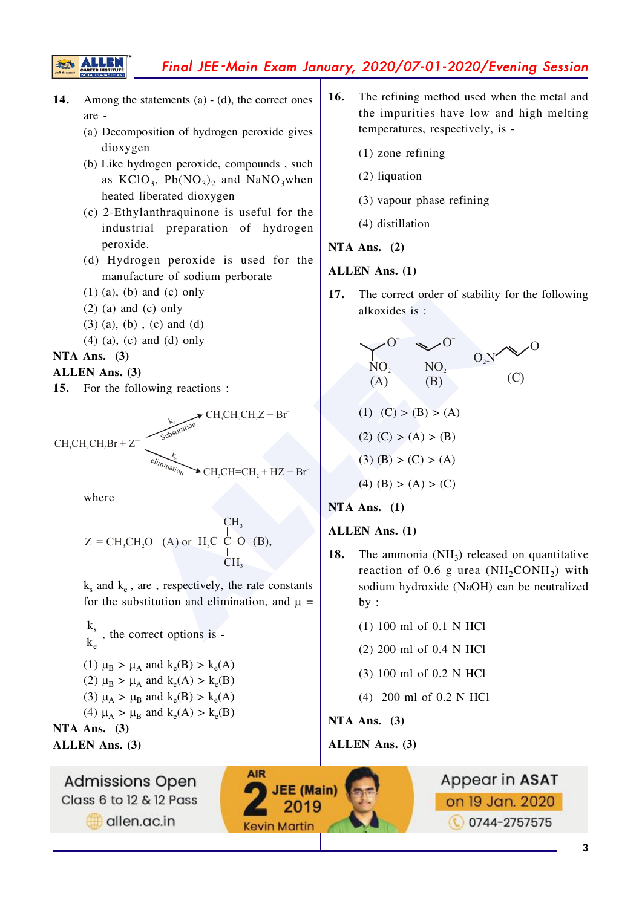## Final JEE-Main Exam January, 2020/07-01-2020/Evening Session

- 14. Among the statements  $(a) - (d)$ , the correct ones are -
	- (a) Decomposition of hydrogen peroxide gives dioxygen
	- (b) Like hydrogen peroxide, compounds, such as  $KClO_3$ ,  $Pb(NO_3)$  and  $NaNO_3$ when heated liberated dioxygen
	- (c) 2-Ethylanthraquinone is useful for the industrial preparation of hydrogen peroxide.
	- (d) Hydrogen peroxide is used for the manufacture of sodium perborate
	- $(1)$  (a), (b) and (c) only
	- $(2)$  (a) and (c) only
	- $(3)$  (a), (b), (c) and (d)
	- $(4)$  (a), (c) and (d) only

#### NTA Ans.  $(3)$

#### ALLEN Ans. (3)

For the following reactions : 15.

 $\blacktriangleright$  CH<sub>3</sub>CH<sub>2</sub>CH<sub>2</sub>Z + Br  $CH, CH, CH, Br + Z^ \triangle$  CH, CH=CH, + HZ + Br

where

$$
Z^{\dagger} = CH_3CH_2O^{\dagger} \quad (A) \text{ or } H_3C-C-O^{\dagger}(B),
$$
  
CH<sub>3</sub>  
CH<sub>3</sub>

 $k_s$  and  $k_e$ , are, respectively, the rate constants for the substitution and elimination, and  $\mu =$ 

 $\frac{k_s}{k}$ , the correct options is -(1)  $\mu_B > \mu_A$  and  $k_e(B) > k_e(A)$ (2)  $\mu_B > \mu_A$  and  $k_e(A) > k_e(B)$ (3)  $\mu_A > \mu_B$  and  $k_e(B) > k_e(A)$ (4)  $\mu_{\text{A}} > \mu_{\text{B}}$  and  $k_{\text{e}}(A) > k_{\text{e}}(B)$ NTA Ans.  $(3)$ 

**ALLEN** Ans. (3)

**Admissions Open** Class 6 to 12 & 12 Pass allen.ac.in

- $16.$ The refining method used when the metal and the impurities have low and high melting temperatures, respectively, is -
	- $(1)$  zone refining
	- (2) liquation
	- (3) vapour phase refining
	- (4) distillation

#### NTA Ans.  $(2)$

#### **ALLEN Ans.** (1)

17. The correct order of stability for the following alkoxides is:

$$
O' = O'
$$
  
\nNO<sub>2</sub> NO<sub>2</sub> O<sub>2</sub>N<sup>o</sup> (C)  
\n(A) (B) (C)  
\n(1) (C) > (B) > (A)  
\n(2) (C) > (A) > (B)  
\n(3) (B) > (C) > (A)

$$
\mathbf{r} = \mathbf{r} \times \mathbf{r}
$$

 $(4)$  (B) > (A) > (C)

### $NTA$  Ans. (1)

#### **ALLEN Ans.** (1)

- 18. The ammonia  $(NH_3)$  released on quantitative reaction of 0.6 g urea  $(NH_2CONH_2)$  with sodium hydroxide (NaOH) can be neutralized  $by:$ 
	- $(1)$  100 ml of 0.1 N HCl
	- $(2)$  200 ml of 0.4 N HCl
	- $(3)$  100 ml of 0.2 N HCl
	- $(4)$  200 ml of 0.2 N HCl

NTA Ans.  $(3)$ 

**ALLEN Ans. (3)**